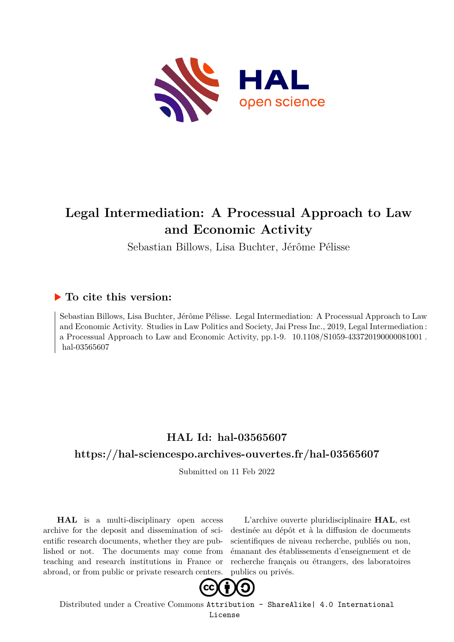

# **Legal Intermediation: A Processual Approach to Law and Economic Activity**

Sebastian Billows, Lisa Buchter, Jérôme Pélisse

### **To cite this version:**

Sebastian Billows, Lisa Buchter, Jérôme Pélisse. Legal Intermediation: A Processual Approach to Law and Economic Activity. Studies in Law Politics and Society, Jai Press Inc., 2019, Legal Intermediation : a Processual Approach to Law and Economic Activity, pp.1-9.  $10.1108/S1059-43372019000081001$ . hal-03565607

## **HAL Id: hal-03565607**

### **<https://hal-sciencespo.archives-ouvertes.fr/hal-03565607>**

Submitted on 11 Feb 2022

**HAL** is a multi-disciplinary open access archive for the deposit and dissemination of scientific research documents, whether they are published or not. The documents may come from teaching and research institutions in France or abroad, or from public or private research centers.

L'archive ouverte pluridisciplinaire **HAL**, est destinée au dépôt et à la diffusion de documents scientifiques de niveau recherche, publiés ou non, émanant des établissements d'enseignement et de recherche français ou étrangers, des laboratoires publics ou privés.



Distributed under a Creative Commons [Attribution - ShareAlike| 4.0 International](http://creativecommons.org/licenses/by-sa/4.0/) [License](http://creativecommons.org/licenses/by-sa/4.0/)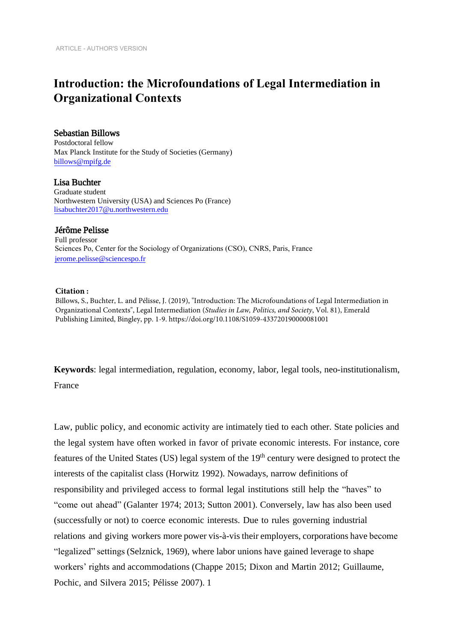## **Introduction: the Microfoundations of Legal Intermediation in Organizational Contexts**

### Sebastian Billows

Postdoctoral fellow Max Planck Institute for the Study of Societies (Germany) [billows@mpifg.de](mailto:billows@mpifg.de) 

Lisa Buchter Graduate student Northwestern University (USA) and Sciences Po (France) [lisabuchter2017@u.northwestern.edu](mailto:lisabuchter2017@u.northwestern.edu) 

#### Jérôme Pelisse

Full professor Sciences Po, Center for the Sociology of Organizations (CSO), CNRS, Paris, France jerome.pelisse@sciencespo.fr

#### **Citation :**

Billows, S., Buchter, L. and Pélisse, J. (2019), "Introduction: The Microfoundations of Legal Intermediation in Organizational Contexts", Legal Intermediation (*Studies in Law, Politics, and Society*, Vol. 81), Emerald P[ublishing Limited, Bingley, pp. 1-9. https://doi.org/](https://dx.doi.org/10.1108/S1059-433720190000081001)10.1108/S1059-433720190000081001

**Keywords**: legal intermediation, regulation, economy, labor, legal tools, neo-institutionalism, France

Law, public policy, and economic activity are intimately tied to each other. State policies and the legal system have often worked in favor of private economic interests. For instance, core features of the United States (US) legal system of the 19<sup>th</sup> century were designed to protect the interests of the capitalist class (Horwitz 1992). Nowadays, narrow definitions of responsibility and privileged access to formal legal institutions still help the "haves" to "come out ahead" (Galanter 1974; 2013; Sutton 2001). Conversely, law has also been used (successfully or not) to coerce economic interests. Due to rules governing industrial relations and giving workers more power vis-à-vis their employers, corporations have become "legalized" settings (Selznick, 1969), where labor unions have gained leverage to shape workers' rights and accommodations (Chappe 2015; Dixon and Martin 2012; Guillaume, Pochic, and Silvera 2015; Pélisse 2007). 1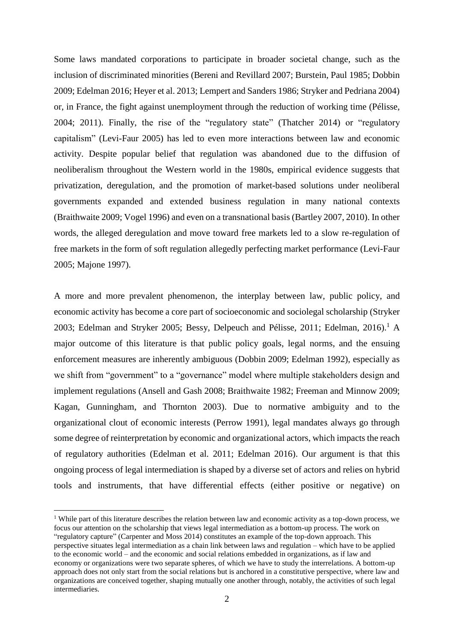Some laws mandated corporations to participate in broader societal change, such as the inclusion of discriminated minorities (Bereni and Revillard 2007; Burstein, Paul 1985; Dobbin 2009; Edelman 2016; Heyer et al. 2013; Lempert and Sanders 1986; Stryker and Pedriana 2004) or, in France, the fight against unemployment through the reduction of working time (Pélisse, 2004; 2011). Finally, the rise of the "regulatory state" (Thatcher 2014) or "regulatory capitalism" (Levi-Faur 2005) has led to even more interactions between law and economic activity. Despite popular belief that regulation was abandoned due to the diffusion of neoliberalism throughout the Western world in the 1980s, empirical evidence suggests that privatization, deregulation, and the promotion of market-based solutions under neoliberal governments expanded and extended business regulation in many national contexts (Braithwaite 2009; Vogel 1996) and even on a transnational basis (Bartley 2007, 2010). In other words, the alleged deregulation and move toward free markets led to a slow re-regulation of free markets in the form of soft regulation allegedly perfecting market performance (Levi-Faur 2005; Majone 1997).

A more and more prevalent phenomenon, the interplay between law, public policy, and economic activity has become a core part of socioeconomic and sociolegal scholarship (Stryker 2003; Edelman and Stryker 2005; Bessy, Delpeuch and Pélisse, 2011; Edelman, 2016).<sup>1</sup> A major outcome of this literature is that public policy goals, legal norms, and the ensuing enforcement measures are inherently ambiguous (Dobbin 2009; Edelman 1992), especially as we shift from "government" to a "governance" model where multiple stakeholders design and implement regulations (Ansell and Gash 2008; Braithwaite 1982; Freeman and Minnow 2009; Kagan, Gunningham, and Thornton 2003). Due to normative ambiguity and to the organizational clout of economic interests (Perrow 1991), legal mandates always go through some degree of reinterpretation by economic and organizational actors, which impacts the reach of regulatory authorities (Edelman et al. 2011; Edelman 2016). Our argument is that this ongoing process of legal intermediation is shaped by a diverse set of actors and relies on hybrid tools and instruments, that have differential effects (either positive or negative) on

1

<sup>&</sup>lt;sup>1</sup> While part of this literature describes the relation between law and economic activity as a top-down process, we focus our attention on the scholarship that views legal intermediation as a bottom-up process. The work on "regulatory capture" (Carpenter and Moss 2014) constitutes an example of the top-down approach. This perspective situates legal intermediation as a chain link between laws and regulation – which have to be applied to the economic world – and the economic and social relations embedded in organizations, as if law and economy or organizations were two separate spheres, of which we have to study the interrelations. A bottom-up approach does not only start from the social relations but is anchored in a constitutive perspective, where law and organizations are conceived together, shaping mutually one another through, notably, the activities of such legal intermediaries.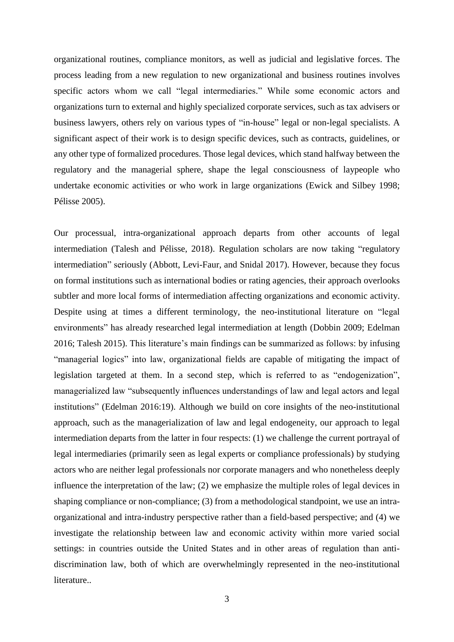organizational routines, compliance monitors, as well as judicial and legislative forces. The process leading from a new regulation to new organizational and business routines involves specific actors whom we call "legal intermediaries." While some economic actors and organizations turn to external and highly specialized corporate services, such as tax advisers or business lawyers, others rely on various types of "in-house" legal or non-legal specialists. A significant aspect of their work is to design specific devices, such as contracts, guidelines, or any other type of formalized procedures. Those legal devices, which stand halfway between the regulatory and the managerial sphere, shape the legal consciousness of laypeople who undertake economic activities or who work in large organizations (Ewick and Silbey 1998; Pélisse 2005).

Our processual, intra-organizational approach departs from other accounts of legal intermediation (Talesh and Pélisse, 2018). Regulation scholars are now taking "regulatory intermediation" seriously (Abbott, Levi-Faur, and Snidal 2017). However, because they focus on formal institutions such as international bodies or rating agencies, their approach overlooks subtler and more local forms of intermediation affecting organizations and economic activity. Despite using at times a different terminology, the neo-institutional literature on "legal environments" has already researched legal intermediation at length (Dobbin 2009; Edelman 2016; Talesh 2015). This literature's main findings can be summarized as follows: by infusing "managerial logics" into law, organizational fields are capable of mitigating the impact of legislation targeted at them. In a second step, which is referred to as "endogenization", managerialized law "subsequently influences understandings of law and legal actors and legal institutions" (Edelman 2016:19). Although we build on core insights of the neo-institutional approach, such as the managerialization of law and legal endogeneity, our approach to legal intermediation departs from the latter in four respects: (1) we challenge the current portrayal of legal intermediaries (primarily seen as legal experts or compliance professionals) by studying actors who are neither legal professionals nor corporate managers and who nonetheless deeply influence the interpretation of the law; (2) we emphasize the multiple roles of legal devices in shaping compliance or non-compliance; (3) from a methodological standpoint, we use an intraorganizational and intra-industry perspective rather than a field-based perspective; and (4) we investigate the relationship between law and economic activity within more varied social settings: in countries outside the United States and in other areas of regulation than antidiscrimination law, both of which are overwhelmingly represented in the neo-institutional literature..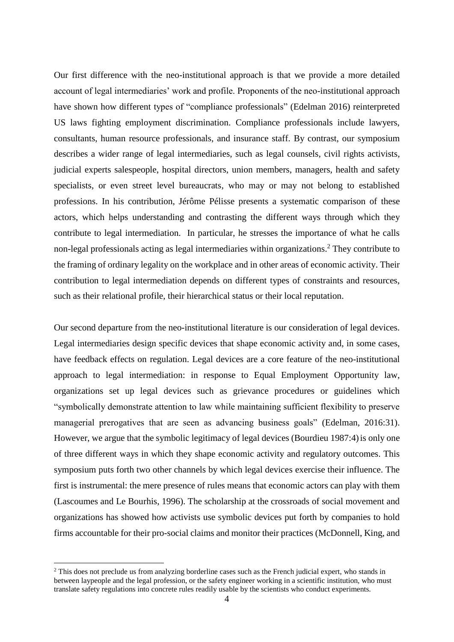Our first difference with the neo-institutional approach is that we provide a more detailed account of legal intermediaries' work and profile. Proponents of the neo-institutional approach have shown how different types of "compliance professionals" (Edelman 2016) reinterpreted US laws fighting employment discrimination. Compliance professionals include lawyers, consultants, human resource professionals, and insurance staff. By contrast, our symposium describes a wider range of legal intermediaries, such as legal counsels, civil rights activists, judicial experts salespeople, hospital directors, union members, managers, health and safety specialists, or even street level bureaucrats, who may or may not belong to established professions. In his contribution, Jérôme Pélisse presents a systematic comparison of these actors, which helps understanding and contrasting the different ways through which they contribute to legal intermediation. In particular, he stresses the importance of what he calls non-legal professionals acting as legal intermediaries within organizations. <sup>2</sup> They contribute to the framing of ordinary legality on the workplace and in other areas of economic activity. Their contribution to legal intermediation depends on different types of constraints and resources, such as their relational profile, their hierarchical status or their local reputation.

Our second departure from the neo-institutional literature is our consideration of legal devices. Legal intermediaries design specific devices that shape economic activity and, in some cases, have feedback effects on regulation. Legal devices are a core feature of the neo-institutional approach to legal intermediation: in response to Equal Employment Opportunity law, organizations set up legal devices such as grievance procedures or guidelines which "symbolically demonstrate attention to law while maintaining sufficient flexibility to preserve managerial prerogatives that are seen as advancing business goals" (Edelman, 2016:31). However, we argue that the symbolic legitimacy of legal devices (Bourdieu 1987:4)is only one of three different ways in which they shape economic activity and regulatory outcomes. This symposium puts forth two other channels by which legal devices exercise their influence. The first is instrumental: the mere presence of rules means that economic actors can play with them (Lascoumes and Le Bourhis, 1996). The scholarship at the crossroads of social movement and organizations has showed how activists use symbolic devices put forth by companies to hold firms accountable for their pro-social claims and monitor their practices (McDonnell, King, and

1

<sup>&</sup>lt;sup>2</sup> This does not preclude us from analyzing borderline cases such as the French judicial expert, who stands in between laypeople and the legal profession, or the safety engineer working in a scientific institution, who must translate safety regulations into concrete rules readily usable by the scientists who conduct experiments.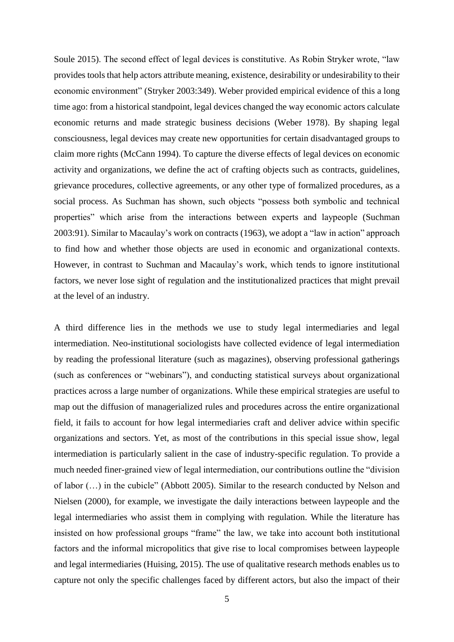Soule 2015). The second effect of legal devices is constitutive. As Robin Stryker wrote, "law provides tools that help actors attribute meaning, existence, desirability or undesirability to their economic environment" (Stryker 2003:349). Weber provided empirical evidence of this a long time ago: from a historical standpoint, legal devices changed the way economic actors calculate economic returns and made strategic business decisions (Weber 1978). By shaping legal consciousness, legal devices may create new opportunities for certain disadvantaged groups to claim more rights (McCann 1994). To capture the diverse effects of legal devices on economic activity and organizations, we define the act of crafting objects such as contracts, guidelines, grievance procedures, collective agreements, or any other type of formalized procedures, as a social process. As Suchman has shown, such objects "possess both symbolic and technical properties" which arise from the interactions between experts and laypeople (Suchman 2003:91). Similar to Macaulay's work on contracts (1963), we adopt a "law in action" approach to find how and whether those objects are used in economic and organizational contexts. However, in contrast to Suchman and Macaulay's work, which tends to ignore institutional factors, we never lose sight of regulation and the institutionalized practices that might prevail at the level of an industry.

A third difference lies in the methods we use to study legal intermediaries and legal intermediation. Neo-institutional sociologists have collected evidence of legal intermediation by reading the professional literature (such as magazines), observing professional gatherings (such as conferences or "webinars"), and conducting statistical surveys about organizational practices across a large number of organizations. While these empirical strategies are useful to map out the diffusion of managerialized rules and procedures across the entire organizational field, it fails to account for how legal intermediaries craft and deliver advice within specific organizations and sectors. Yet, as most of the contributions in this special issue show, legal intermediation is particularly salient in the case of industry-specific regulation. To provide a much needed finer-grained view of legal intermediation, our contributions outline the "division of labor (…) in the cubicle" (Abbott 2005). Similar to the research conducted by Nelson and Nielsen (2000), for example, we investigate the daily interactions between laypeople and the legal intermediaries who assist them in complying with regulation. While the literature has insisted on how professional groups "frame" the law, we take into account both institutional factors and the informal micropolitics that give rise to local compromises between laypeople and legal intermediaries (Huising, 2015). The use of qualitative research methods enables us to capture not only the specific challenges faced by different actors, but also the impact of their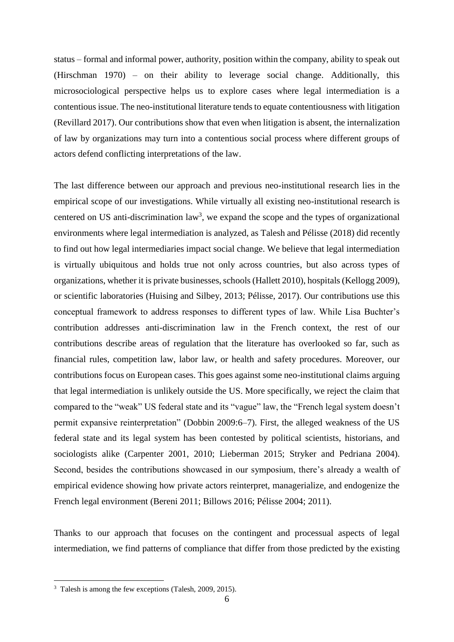status – formal and informal power, authority, position within the company, ability to speak out (Hirschman 1970) – on their ability to leverage social change. Additionally, this microsociological perspective helps us to explore cases where legal intermediation is a contentious issue. The neo-institutional literature tends to equate contentiousness with litigation (Revillard 2017). Our contributions show that even when litigation is absent, the internalization of law by organizations may turn into a contentious social process where different groups of actors defend conflicting interpretations of the law.

The last difference between our approach and previous neo-institutional research lies in the empirical scope of our investigations. While virtually all existing neo-institutional research is centered on US anti-discrimination  $law<sup>3</sup>$ , we expand the scope and the types of organizational environments where legal intermediation is analyzed, as Talesh and Pélisse (2018) did recently to find out how legal intermediaries impact social change. We believe that legal intermediation is virtually ubiquitous and holds true not only across countries, but also across types of organizations, whether it is private businesses, schools (Hallett 2010), hospitals (Kellogg 2009), or scientific laboratories (Huising and Silbey, 2013; Pélisse, 2017). Our contributions use this conceptual framework to address responses to different types of law. While Lisa Buchter's contribution addresses anti-discrimination law in the French context, the rest of our contributions describe areas of regulation that the literature has overlooked so far, such as financial rules, competition law, labor law, or health and safety procedures. Moreover, our contributions focus on European cases. This goes against some neo-institutional claims arguing that legal intermediation is unlikely outside the US. More specifically, we reject the claim that compared to the "weak" US federal state and its "vague" law, the "French legal system doesn't permit expansive reinterpretation" (Dobbin 2009:6–7). First, the alleged weakness of the US federal state and its legal system has been contested by political scientists, historians, and sociologists alike (Carpenter 2001, 2010; Lieberman 2015; Stryker and Pedriana 2004). Second, besides the contributions showcased in our symposium, there's already a wealth of empirical evidence showing how private actors reinterpret, managerialize, and endogenize the French legal environment (Bereni 2011; Billows 2016; Pélisse 2004; 2011).

Thanks to our approach that focuses on the contingent and processual aspects of legal intermediation, we find patterns of compliance that differ from those predicted by the existing

1

<sup>3</sup> Talesh is among the few exceptions (Talesh, 2009, 2015).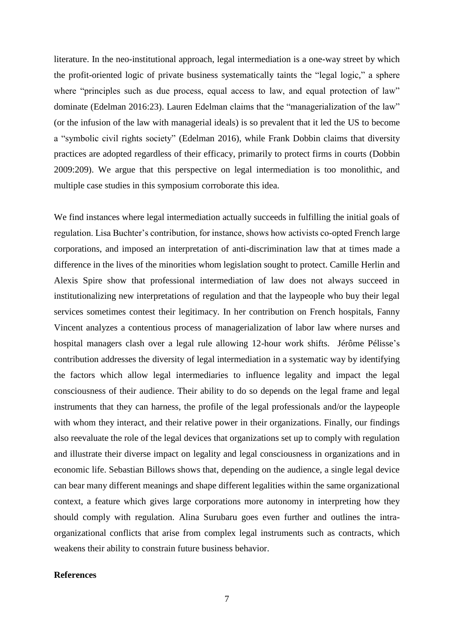literature. In the neo-institutional approach, legal intermediation is a one-way street by which the profit-oriented logic of private business systematically taints the "legal logic," a sphere where "principles such as due process, equal access to law, and equal protection of law" dominate (Edelman 2016:23). Lauren Edelman claims that the "managerialization of the law" (or the infusion of the law with managerial ideals) is so prevalent that it led the US to become a "symbolic civil rights society" (Edelman 2016), while Frank Dobbin claims that diversity practices are adopted regardless of their efficacy, primarily to protect firms in courts (Dobbin 2009:209). We argue that this perspective on legal intermediation is too monolithic, and multiple case studies in this symposium corroborate this idea.

We find instances where legal intermediation actually succeeds in fulfilling the initial goals of regulation. Lisa Buchter's contribution, for instance, shows how activists co-opted French large corporations, and imposed an interpretation of anti-discrimination law that at times made a difference in the lives of the minorities whom legislation sought to protect. Camille Herlin and Alexis Spire show that professional intermediation of law does not always succeed in institutionalizing new interpretations of regulation and that the laypeople who buy their legal services sometimes contest their legitimacy. In her contribution on French hospitals, Fanny Vincent analyzes a contentious process of managerialization of labor law where nurses and hospital managers clash over a legal rule allowing 12-hour work shifts. Jérôme Pélisse's contribution addresses the diversity of legal intermediation in a systematic way by identifying the factors which allow legal intermediaries to influence legality and impact the legal consciousness of their audience. Their ability to do so depends on the legal frame and legal instruments that they can harness, the profile of the legal professionals and/or the laypeople with whom they interact, and their relative power in their organizations. Finally, our findings also reevaluate the role of the legal devices that organizations set up to comply with regulation and illustrate their diverse impact on legality and legal consciousness in organizations and in economic life. Sebastian Billows shows that, depending on the audience, a single legal device can bear many different meanings and shape different legalities within the same organizational context, a feature which gives large corporations more autonomy in interpreting how they should comply with regulation. Alina Surubaru goes even further and outlines the intraorganizational conflicts that arise from complex legal instruments such as contracts, which weakens their ability to constrain future business behavior.

### **References**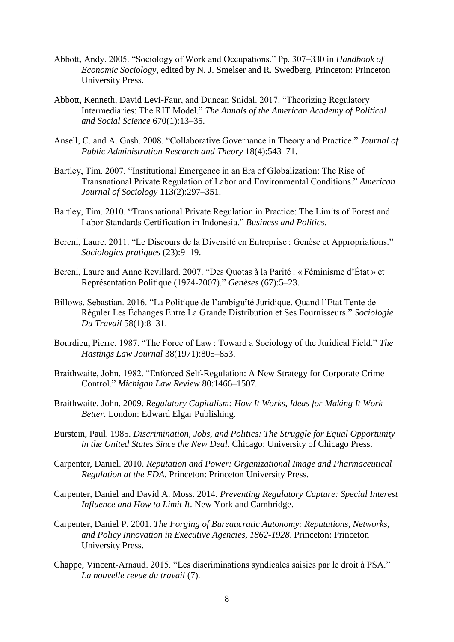- Abbott, Andy. 2005. "Sociology of Work and Occupations." Pp. 307–330 in *Handbook of Economic Sociology*, edited by N. J. Smelser and R. Swedberg. Princeton: Princeton University Press.
- Abbott, Kenneth, David Levi-Faur, and Duncan Snidal. 2017. "Theorizing Regulatory Intermediaries: The RIT Model." *The Annals of the American Academy of Political and Social Science* 670(1):13–35.
- Ansell, C. and A. Gash. 2008. "Collaborative Governance in Theory and Practice." *Journal of Public Administration Research and Theory* 18(4):543–71.
- Bartley, Tim. 2007. "Institutional Emergence in an Era of Globalization: The Rise of Transnational Private Regulation of Labor and Environmental Conditions." *American Journal of Sociology* 113(2):297–351.
- Bartley, Tim. 2010. "Transnational Private Regulation in Practice: The Limits of Forest and Labor Standards Certification in Indonesia." *Business and Politics*.
- Bereni, Laure. 2011. "Le Discours de la Diversité en Entreprise : Genèse et Appropriations." *Sociologies pratiques* (23):9–19.
- Bereni, Laure and Anne Revillard. 2007. "Des Quotas à la Parité : « Féminisme d'État » et Représentation Politique (1974-2007)." *Genèses* (67):5–23.
- Billows, Sebastian. 2016. "La Politique de l'ambiguïté Juridique. Quand l'Etat Tente de Réguler Les Échanges Entre La Grande Distribution et Ses Fournisseurs." *Sociologie Du Travail* 58(1):8–31.
- Bourdieu, Pierre. 1987. "The Force of Law : Toward a Sociology of the Juridical Field." *The Hastings Law Journal* 38(1971):805–853.
- Braithwaite, John. 1982. "Enforced Self-Regulation: A New Strategy for Corporate Crime Control." *Michigan Law Review* 80:1466–1507.
- Braithwaite, John. 2009. *Regulatory Capitalism: How It Works, Ideas for Making It Work Better*. London: Edward Elgar Publishing.
- Burstein, Paul. 1985. *Discrimination, Jobs, and Politics: The Struggle for Equal Opportunity in the United States Since the New Deal*. Chicago: University of Chicago Press.
- Carpenter, Daniel. 2010. *Reputation and Power: Organizational Image and Pharmaceutical Regulation at the FDA*. Princeton: Princeton University Press.
- Carpenter, Daniel and David A. Moss. 2014. *Preventing Regulatory Capture: Special Interest Influence and How to Limit It*. New York and Cambridge.
- Carpenter, Daniel P. 2001. *The Forging of Bureaucratic Autonomy: Reputations, Networks, and Policy Innovation in Executive Agencies, 1862-1928*. Princeton: Princeton University Press.
- Chappe, Vincent-Arnaud. 2015. "Les discriminations syndicales saisies par le droit à PSA." *La nouvelle revue du travail* (7).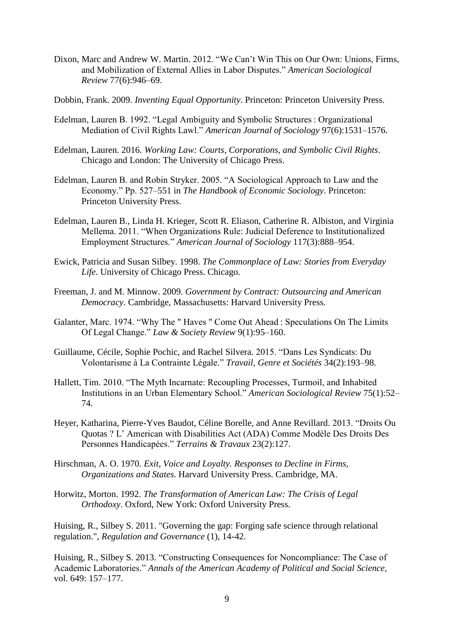- Dixon, Marc and Andrew W. Martin. 2012. "We Can't Win This on Our Own: Unions, Firms, and Mobilization of External Allies in Labor Disputes." *American Sociological Review* 77(6):946–69.
- Dobbin, Frank. 2009. *Inventing Equal Opportunity*. Princeton: Princeton University Press.
- Edelman, Lauren B. 1992. "Legal Ambiguity and Symbolic Structures : Organizational Mediation of Civil Rights Lawl." *American Journal of Sociology* 97(6):1531–1576.
- Edelman, Lauren. 2016. *Working Law: Courts, Corporations, and Symbolic Civil Rights*. Chicago and London: The University of Chicago Press.
- Edelman, Lauren B. and Robin Stryker. 2005. "A Sociological Approach to Law and the Economy." Pp. 527–551 in *The Handbook of Economic Sociology*. Princeton: Princeton University Press.
- Edelman, Lauren B., Linda H. Krieger, Scott R. Eliason, Catherine R. Albiston, and Virginia Mellema. 2011. "When Organizations Rule: Judicial Deference to Institutionalized Employment Structures." *American Journal of Sociology* 117(3):888–954.
- Ewick, Patricia and Susan Silbey. 1998. *The Commonplace of Law: Stories from Everyday Life*. University of Chicago Press. Chicago.
- Freeman, J. and M. Minnow. 2009. *Government by Contract: Outsourcing and American Democracy*. Cambridge, Massachusetts: Harvard University Press.
- Galanter, Marc. 1974. "Why The " Haves " Come Out Ahead : Speculations On The Limits Of Legal Change." *Law & Society Review* 9(1):95–160.
- Guillaume, Cécile, Sophie Pochic, and Rachel Silvera. 2015. "Dans Les Syndicats: Du Volontarisme à La Contrainte Légale." *Travail, Genre et Sociétés* 34(2):193–98.
- Hallett, Tim. 2010. "The Myth Incarnate: Recoupling Processes, Turmoil, and Inhabited Institutions in an Urban Elementary School." *American Sociological Review* 75(1):52– 74.
- Heyer, Katharina, Pierre-Yves Baudot, Céline Borelle, and Anne Revillard. 2013. "Droits Ou Quotas ? L' American with Disabilities Act (ADA) Comme Modèle Des Droits Des Personnes Handicapées." *Terrains & Travaux* 23(2):127.
- Hirschman, A. O. 1970. *Exit, Voice and Loyalty. Responses to Decline in Firms, Organizations and States*. Harvard University Press. Cambridge, MA.
- Horwitz, Morton. 1992. *The Transformation of American Law: The Crisis of Legal Orthodoxy*. Oxford, New York: Oxford University Press.

Huising, R., Silbey S. 2011. "Governing the gap: Forging safe science through relational regulation.", *Regulation and Governance* (1), 14-42.

Huising, R., Silbey S. 2013. "Constructing Consequences for Noncompliance: The Case of Academic Laboratories." *Annals of the American Academy of Political and Social Science*, vol. 649: 157–177.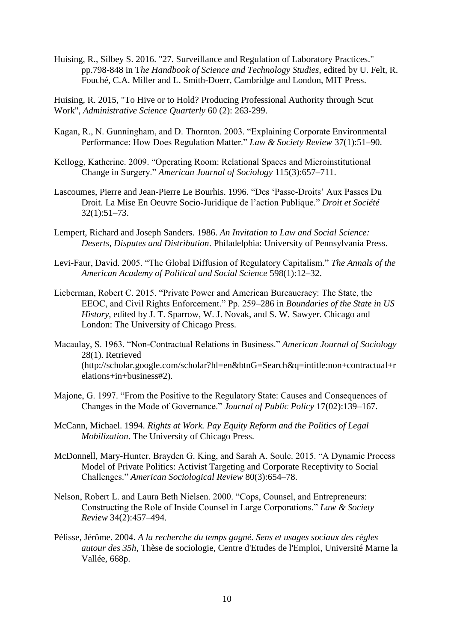Huising, R., Silbey S. 2016. "27. Surveillance and Regulation of Laboratory Practices." pp.798-848 in T*he Handbook of Science and Technology Studies*, edited by U. Felt, R. Fouché, C.A. Miller and L. Smith-Doerr, Cambridge and London, MIT Press.

Huising, R. 2015, "To Hive or to Hold? Producing Professional Authority through Scut Work", *Administrative Science Quarterly* 60 (2): 263-299.

- Kagan, R., N. Gunningham, and D. Thornton. 2003. "Explaining Corporate Environmental Performance: How Does Regulation Matter." *Law & Society Review* 37(1):51–90.
- Kellogg, Katherine. 2009. "Operating Room: Relational Spaces and Microinstitutional Change in Surgery." *American Journal of Sociology* 115(3):657–711.
- Lascoumes, Pierre and Jean-Pierre Le Bourhis. 1996. "Des 'Passe-Droits' Aux Passes Du Droit. La Mise En Oeuvre Socio-Juridique de l'action Publique." *Droit et Société* 32(1):51–73.
- Lempert, Richard and Joseph Sanders. 1986. *An Invitation to Law and Social Science: Deserts, Disputes and Distribution*. Philadelphia: University of Pennsylvania Press.
- Levi-Faur, David. 2005. "The Global Diffusion of Regulatory Capitalism." *The Annals of the American Academy of Political and Social Science* 598(1):12–32.
- Lieberman, Robert C. 2015. "Private Power and American Bureaucracy: The State, the EEOC, and Civil Rights Enforcement." Pp. 259–286 in *Boundaries of the State in US History*, edited by J. T. Sparrow, W. J. Novak, and S. W. Sawyer. Chicago and London: The University of Chicago Press.
- Macaulay, S. 1963. "Non-Contractual Relations in Business." *American Journal of Sociology* 28(1). Retrieved (http://scholar.google.com/scholar?hl=en&btnG=Search&q=intitle:non+contractual+r elations+in+business#2).
- Majone, G. 1997. "From the Positive to the Regulatory State: Causes and Consequences of Changes in the Mode of Governance." *Journal of Public Policy* 17(02):139–167.
- McCann, Michael. 1994. *Rights at Work. Pay Equity Reform and the Politics of Legal Mobilization*. The University of Chicago Press.
- McDonnell, Mary-Hunter, Brayden G. King, and Sarah A. Soule. 2015. "A Dynamic Process Model of Private Politics: Activist Targeting and Corporate Receptivity to Social Challenges." *American Sociological Review* 80(3):654–78.
- Nelson, Robert L. and Laura Beth Nielsen. 2000. "Cops, Counsel, and Entrepreneurs: Constructing the Role of Inside Counsel in Large Corporations." *Law & Society Review* 34(2):457–494.
- Pélisse, Jérôme. 2004. *A la recherche du temps gagné. Sens et usages sociaux des règles autour des 35h*, Thèse de sociologie, Centre d'Etudes de l'Emploi, Université Marne la Vallée, 668p.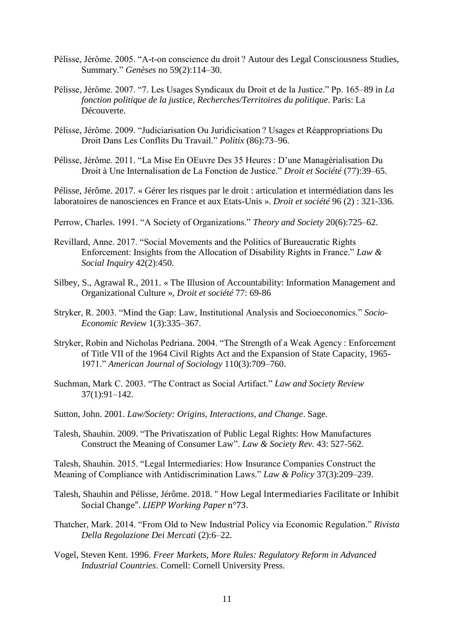- Pélisse, Jérôme. 2005. "A-t-on conscience du droit ? Autour des Legal Consciousness Studies, Summary." *Genèses* no 59(2):114–30.
- Pélisse, Jérôme. 2007. "7. Les Usages Syndicaux du Droit et de la Justice." Pp. 165–89 in *La fonction politique de la justice*, *Recherches/Territoires du politique*. Paris: La Découverte.
- Pélisse, Jérôme. 2009. "Judiciarisation Ou Juridicisation ? Usages et Réappropriations Du Droit Dans Les Conflits Du Travail." *Politix* (86):73–96.
- Pélisse, Jérôme. 2011. "La Mise En OEuvre Des 35 Heures : D'une Managérialisation Du Droit à Une Internalisation de La Fonction de Justice." *Droit et Société* (77):39–65.

Pélisse, Jérôme. 2017. « Gérer les risques par le droit : articulation et intermédiation dans les laboratoires de nanosciences en France et aux Etats-Unis ». *Droit et société* 96 (2) : 321-336.

- Perrow, Charles. 1991. "A Society of Organizations." *Theory and Society* 20(6):725–62.
- Revillard, Anne. 2017. "Social Movements and the Politics of Bureaucratic Rights Enforcement: Insights from the Allocation of Disability Rights in France." *Law & Social Inquiry* 42(2):450.
- Silbey, S., Agrawal R., 2011. « The Illusion of Accountability: Information Management and Organizational Culture », *Droit et société* 77: 69-86
- Stryker, R. 2003. "Mind the Gap: Law, Institutional Analysis and Socioeconomics." *Socio-Economic Review* 1(3):335–367.
- Stryker, Robin and Nicholas Pedriana. 2004. "The Strength of a Weak Agency : Enforcement of Title VII of the 1964 Civil Rights Act and the Expansion of State Capacity, 1965- 1971." *American Journal of Sociology* 110(3):709–760.
- Suchman, Mark C. 2003. "The Contract as Social Artifact." *Law and Society Review* 37(1):91–142.
- Sutton, John. 2001. *Law/Society: Origins, Interactions, and Change*. Sage.
- Talesh, Shauhin. 2009. "The Privatiszation of Public Legal Rights: How Manufactures Construct the Meaning of Consumer Law". *Law & Society Rev.* 43: 527-562.

Talesh, Shauhin. 2015. "Legal Intermediaries: How Insurance Companies Construct the Meaning of Compliance with Antidiscrimination Laws." *Law & Policy* 37(3):209–239.

- Talesh, Shauhin and Pélisse, Jérôme. 2018. " How Legal Intermediaries Facilitate or Inhibit Social Change". *LIEPP Working Paper* n°73.
- Thatcher, Mark. 2014. "From Old to New Industrial Policy via Economic Regulation." *Rivista Della Regolazione Dei Mercati* (2):6–22.
- Vogel, Steven Kent. 1996. *Freer Markets, More Rules: Regulatory Reform in Advanced Industrial Countries*. Cornell: Cornell University Press.